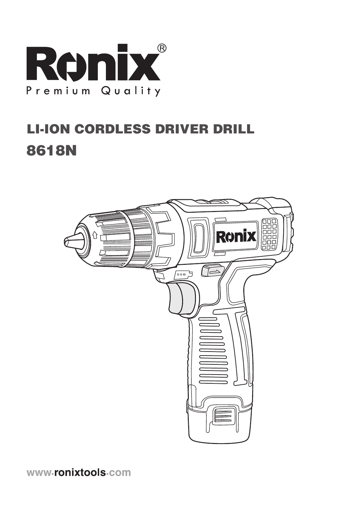

# **LI-ION CORDLESS DRIVER DRILL 8618N**



www-ronixtools-com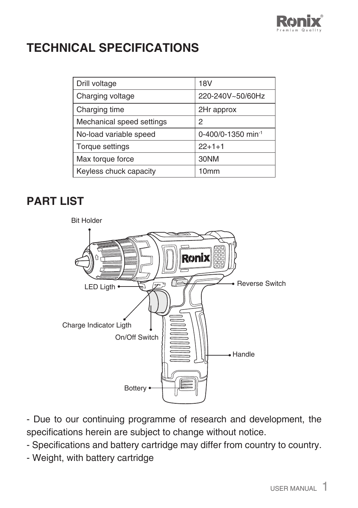

## **TECHNICAL SPECIFICATIONS**

| Drill voltage             | 18V                |
|---------------------------|--------------------|
| Charging voltage          | 220-240V~50/60Hz   |
| Charging time             | 2Hr approx         |
| Mechanical speed settings | 2                  |
| No-load variable speed    | 0-400/0-1350 min-1 |
| Torque settings           | $22+1+1$           |
| Max torque force          | 30NM               |
| Keyless chuck capacity    | 10mm               |

## **PART LIST**



- Due to our continuing programme of research and development, the specifications herein are subject to change without notice.

- Specifications and battery cartridge may differ from country to country.
- Weight, with battery cartridge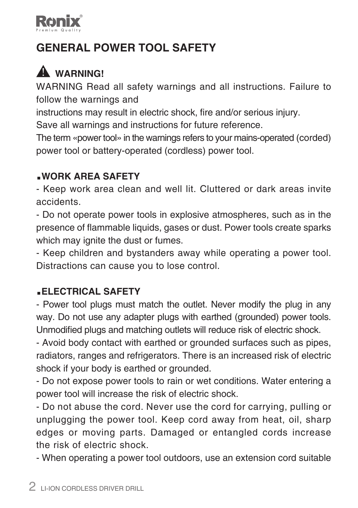

## **GENERAL POWER TOOL SAFETY**

# A WARNING!

WARNING Read all safety warnings and all instructions. Failure to follow the warnings and

instructions may result in electric shock, fire and/or serious injury.

Save all warnings and instructions for future reference.

The term «power tool» in the warnings refers to your mains-operated (corded) power tool or battery-operated (cordless) power tool.

### **.WORK AREA SAFETY**

- Keep work area clean and well lit. Cluttered or dark areas invite accidents.

- Do not operate power tools in explosive atmospheres, such as in the presence of flammable liquids, gases or dust. Power tools create sparks which may ignite the dust or fumes.

- Keep children and bystanders away while operating a power tool. Distractions can cause you to lose control.

#### **.ELECTRICAL SAFETY**

- Power tool plugs must match the outlet. Never modify the plug in any way. Do not use any adapter plugs with earthed (grounded) power tools. Unmodified plugs and matching outlets will reduce risk of electric shock.

- Avoid body contact with earthed or grounded surfaces such as pipes, radiators, ranges and refrigerators. There is an increased risk of electric shock if your body is earthed or grounded.

- Do not expose power tools to rain or wet conditions. Water entering a power tool will increase the risk of electric shock.

- Do not abuse the cord. Never use the cord for carrying, pulling or unplugging the power tool. Keep cord away from heat, oil, sharp edges or moving parts. Damaged or entangled cords increase the risk of electric shock.

- When operating a power tool outdoors, use an extension cord suitable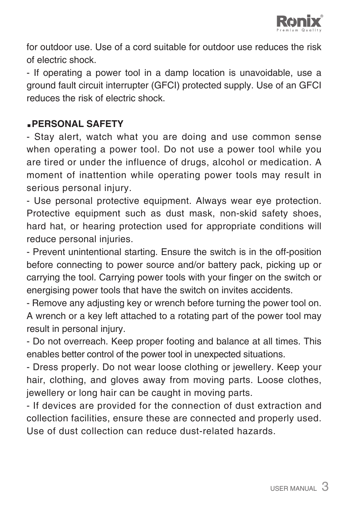

for outdoor use. Use of a cord suitable for outdoor use reduces the risk of electric shock.

- If operating a power tool in a damp location is unavoidable, use a ground fault circuit interrupter (GFCI) protected supply. Use of an GFCI reduces the risk of electric shock.

#### **.PERSONAL SAFETY**

- Stay alert, watch what you are doing and use common sense when operating a power tool. Do not use a power tool while you are tired or under the influence of drugs, alcohol or medication. A moment of inattention while operating power tools may result in serious personal injury.

- Use personal protective equipment. Always wear eye protection. Protective equipment such as dust mask, non-skid safety shoes, hard hat, or hearing protection used for appropriate conditions will reduce personal injuries.

- Prevent unintentional starting. Ensure the switch is in the off-position before connecting to power source and/or battery pack, picking up or carrying the tool. Carrying power tools with your finger on the switch or energising power tools that have the switch on invites accidents.

- Remove any adjusting key or wrench before turning the power tool on. A wrench or a key left attached to a rotating part of the power tool may result in personal injury.

- Do not overreach. Keep proper footing and balance at all times. This enables better control of the power tool in unexpected situations.

- Dress properly. Do not wear loose clothing or jewellery. Keep your hair, clothing, and gloves away from moving parts. Loose clothes, jewellery or long hair can be caught in moving parts.

- If devices are provided for the connection of dust extraction and collection facilities, ensure these are connected and properly used. Use of dust collection can reduce dust-related hazards.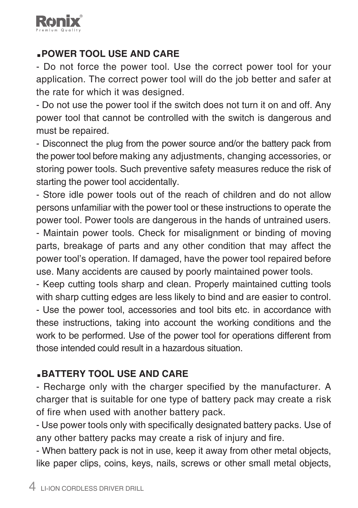

#### **.POWER TOOL USE AND CARE**

- Do not force the power tool. Use the correct power tool for your application. The correct power tool will do the job better and safer at the rate for which it was designed.

- Do not use the power tool if the switch does not turn it on and off. Any power tool that cannot be controlled with the switch is dangerous and must be repaired.

- Disconnect the plug from the power source and/or the battery pack from the power tool before making any adjustments, changing accessories, or storing power tools. Such preventive safety measures reduce the risk of starting the power tool accidentally.

- Store idle power tools out of the reach of children and do not allow persons unfamiliar with the power tool or these instructions to operate the power tool. Power tools are dangerous in the hands of untrained users. - Maintain power tools. Check for misalignment or binding of moving parts, breakage of parts and any other condition that may affect the power tool's operation. If damaged, have the power tool repaired before use. Many accidents are caused by poorly maintained power tools.

- Keep cutting tools sharp and clean. Properly maintained cutting tools with sharp cutting edges are less likely to bind and are easier to control. - Use the power tool, accessories and tool bits etc. in accordance with these instructions, taking into account the working conditions and the work to be performed. Use of the power tool for operations different from those intended could result in a hazardous situation.

#### **.BATTERY TOOL USE AND CARE**

- Recharge only with the charger specified by the manufacturer. A charger that is suitable for one type of battery pack may create a risk of fire when used with another battery pack.

- Use power tools only with specifically designated battery packs. Use of any other battery packs may create a risk of injury and fire.

- When battery pack is not in use, keep it away from other metal objects, like paper clips, coins, keys, nails, screws or other small metal objects,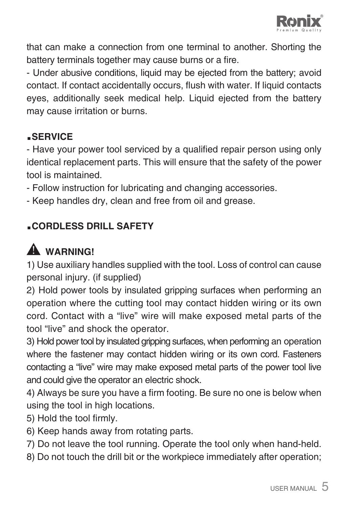

that can make a connection from one terminal to another. Shorting the battery terminals together may cause burns or a fire.

- Under abusive conditions, liquid may be ejected from the battery; avoid contact. If contact accidentally occurs, flush with water. If liquid contacts eyes, additionally seek medical help. Liquid ejected from the battery may cause irritation or burns.

#### **.SERVICE**

- Have your power tool serviced by a qualified repair person using only identical replacement parts. This will ensure that the safety of the power tool is maintained.

- Follow instruction for lubricating and changing accessories.

- Keep handles dry, clean and free from oil and grease.

### **.CORDLESS DRILL SAFETY**

# A WARNING!

1) Use auxiliary handles supplied with the tool. Loss of control can cause personal injury. (if supplied)

2) Hold power tools by insulated gripping surfaces when performing an operation where the cutting tool may contact hidden wiring or its own cord. Contact with a "live" wire will make exposed metal parts of the tool "live" and shock the operator.

3) Hold power tool by insulated gripping surfaces, when performing an operation where the fastener may contact hidden wiring or its own cord. Fasteners contacting a "live" wire may make exposed metal parts of the power tool live and could give the operator an electric shock.

4) Always be sure you have a firm footing. Be sure no one is below when using the tool in high locations.

5) Hold the tool firmly.

- 6) Keep hands away from rotating parts.
- 7) Do not leave the tool running. Operate the tool only when hand-held.
- 8) Do not touch the drill bit or the workpiece immediately after operation;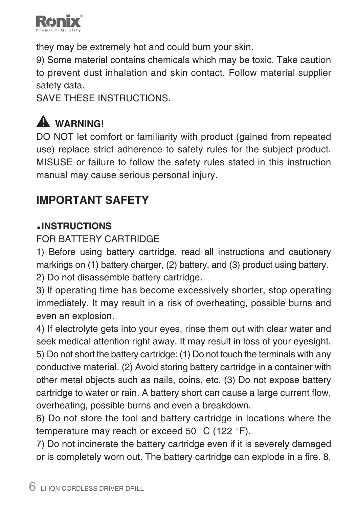

they may be extremely hot and could burn your skin.

9) Some material contains chemicals which may be toxic. Take caution to prevent dust inhalation and skin contact. Follow material supplier safety data.

SAVE THESE INSTRUCTIONS.

# **WARNING!**

DO NOT let comfort or familiarity with product (gained from repeated use) replace strict adherence to safety rules for the subject product. MISUSE or failure to follow the safety rules stated in this instruction manual may cause serious personal injury.

## **IMPORTANT SAFETY**

### **.INSTRUCTIONS**

### FOR BATTERY CARTRIDGE

1) Before using battery cartridge, read all instructions and cautionary markings on (1) battery charger, (2) battery, and (3) product using battery. 2) Do not disassemble battery cartridge.

3) If operating time has become excessively shorter, stop operating immediately. It may result in a risk of overheating, possible burns and even an explosion.

4) If electrolyte gets into your eyes, rinse them out with clear water and seek medical attention right away. It may result in loss of your eyesight. 5) Do not short the battery cartridge: (1) Do not touch the terminals with any conductive material. (2) Avoid storing battery cartridge in a container with other metal objects such as nails, coins, etc. (3) Do not expose battery cartridge to water or rain. A battery short can cause a large current flow, overheating, possible burns and even a breakdown.

6) Do not store the tool and battery cartridge in locations where the temperature may reach or exceed 50 °C (122 °F).

7) Do not incinerate the battery cartridge even if it is severely damaged or is completely worn out. The battery cartridge can explode in a fire. 8.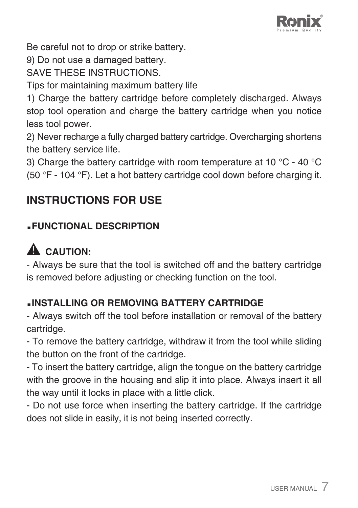

Be careful not to drop or strike battery.

9) Do not use a damaged battery.

SAVE THESE INSTRUCTIONS.

Tips for maintaining maximum battery life

1) Charge the battery cartridge before completely discharged. Always stop tool operation and charge the battery cartridge when you notice less tool power.

2) Never recharge a fully charged battery cartridge. Overcharging shortens the battery service life.

3) Charge the battery cartridge with room temperature at 10 °C - 40 °C (50 °F - 104 °F). Let a hot battery cartridge cool down before charging it.

## **INSTRUCTIONS FOR USE**

### **.FUNCTIONAL DESCRIPTION**

# A CAUTION:

- Always be sure that the tool is switched off and the battery cartridge is removed before adjusting or checking function on the tool.

## **.INSTALLING OR REMOVING BATTERY CARTRIDGE**

- Always switch off the tool before installation or removal of the battery cartridge.

- To remove the battery cartridge, withdraw it from the tool while sliding the button on the front of the cartridge.

- To insert the battery cartridge, align the tongue on the battery cartridge with the groove in the housing and slip it into place. Always insert it all the way until it locks in place with a little click.

- Do not use force when inserting the battery cartridge. If the cartridge does not slide in easily, it is not being inserted correctly.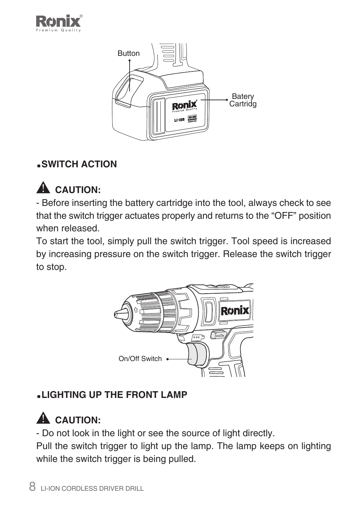



## **.SWITCH ACTION**

# A CAUTION:

- Before inserting the battery cartridge into the tool, always check to see that the switch trigger actuates properly and returns to the "OFF" position when released.

To start the tool, simply pull the switch trigger. Tool speed is increased by increasing pressure on the switch trigger. Release the switch trigger to stop.



## **.LIGHTING UP THE FRONT LAMP**

# A CAUTION:

- Do not look in the light or see the source of light directly.

Pull the switch trigger to light up the lamp. The lamp keeps on lighting while the switch trigger is being pulled.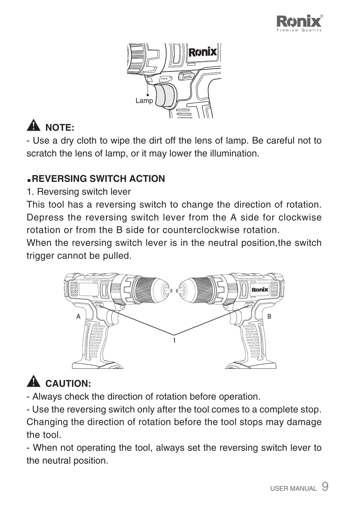



# **A** NOTE:

- Use a dry cloth to wipe the dirt off the lens of lamp. Be careful not to scratch the lens of lamp, or it may lower the illumination.

## **.REVERSING SWITCH ACTION**

1. Reversing switch lever

This tool has a reversing switch to change the direction of rotation. Depress the reversing switch lever from the A side for clockwise rotation or from the B side for counterclockwise rotation.

When the reversing switch lever is in the neutral position,the switch trigger cannot be pulled.



# **A** CAUTION:

- Always check the direction of rotation before operation.

- Use the reversing switch only after the tool comes to a complete stop. Changing the direction of rotation before the tool stops may damage the tool.

- When not operating the tool, always set the reversing switch lever to the neutral position.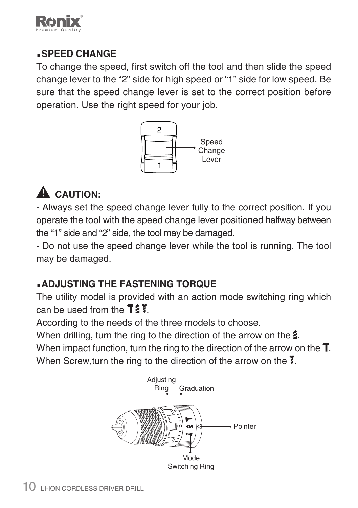

#### **.SPEED CHANGE**

To change the speed, first switch off the tool and then slide the speed change lever to the "2" side for high speed or "1" side for low speed. Be sure that the speed change lever is set to the correct position before operation. Use the right speed for your job.



# A CAUTION:

- Always set the speed change lever fully to the correct position. If you operate the tool with the speed change lever positioned halfway between the "1" side and "2" side, the tool may be damaged.

- Do not use the speed change lever while the tool is running. The tool may be damaged.

### **.ADJUSTING THE FASTENING TORQUE**

The utility model is provided with an action mode switching ring which can be used from the  $\mathbf{72}$ .

According to the needs of the three models to choose.

When drilling, turn the ring to the direction of the arrow on the  $\hat{z}$ .

When impact function, turn the ring to the direction of the arrow on the  $T$ . When Screw, turn the ring to the direction of the arrow on the  $\ddot{\ddot{\cdot}}$ .

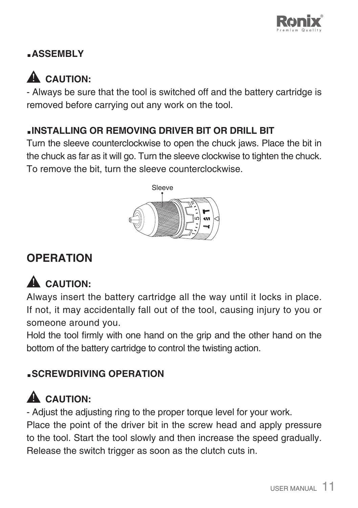

### **.ASSEMBLY**

# A CAUTION:

- Always be sure that the tool is switched off and the battery cartridge is removed before carrying out any work on the tool.

### **.INSTALLING OR REMOVING DRIVER BIT OR DRILL BIT**

Turn the sleeve counterclockwise to open the chuck jaws. Place the bit in the chuck as far as it will go. Turn the sleeve clockwise to tighten the chuck. To remove the bit, turn the sleeve counterclockwise.



## **OPERATION**

# A CAUTION:

Always insert the battery cartridge all the way until it locks in place. If not, it may accidentally fall out of the tool, causing injury to you or someone around you.

Hold the tool firmly with one hand on the grip and the other hand on the bottom of the battery cartridge to control the twisting action.

### **.SCREWDRIVING OPERATION**

## A CAUTION:

- Adjust the adjusting ring to the proper torque level for your work. Place the point of the driver bit in the screw head and apply pressure to the tool. Start the tool slowly and then increase the speed gradually. Release the switch trigger as soon as the clutch cuts in.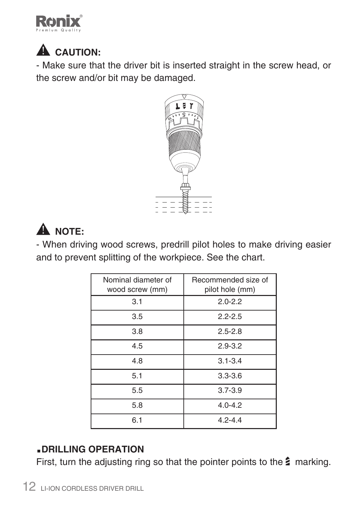

# A CAUTION:

- Make sure that the driver bit is inserted straight in the screw head, or the screw and/or bit may be damaged.



# **A** NOTE:

- When driving wood screws, predrill pilot holes to make driving easier and to prevent splitting of the workpiece. See the chart.

| Nominal diameter of<br>wood screw (mm) | Recommended size of<br>pilot hole (mm) |
|----------------------------------------|----------------------------------------|
| 3.1                                    | $2.0 - 2.2$                            |
| 3.5                                    | $2.2 - 2.5$                            |
| 3.8                                    | $2.5 - 2.8$                            |
| 4.5                                    | $2.9 - 3.2$                            |
| 4.8                                    | $3.1 - 3.4$                            |
| 5.1                                    | $3.3 - 3.6$                            |
| 5.5                                    | $3.7 - 3.9$                            |
| 5.8                                    | $4.0 - 4.2$                            |
| 6.1                                    | $4.2 - 4.4$                            |

## **.DRILLING OPERATION**

First, turn the adjusting ring so that the pointer points to the  $\hat{z}$  marking.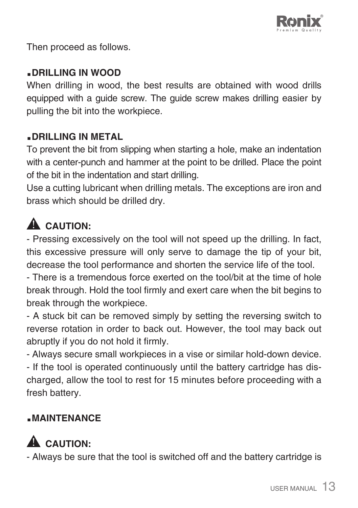

Then proceed as follows.

#### **.DRILLING IN WOOD**

When drilling in wood, the best results are obtained with wood drills equipped with a guide screw. The guide screw makes drilling easier by pulling the bit into the workpiece.

#### **.DRILLING IN METAL**

To prevent the bit from slipping when starting a hole, make an indentation with a center-punch and hammer at the point to be drilled. Place the point of the bit in the indentation and start drilling.

Use a cutting lubricant when drilling metals. The exceptions are iron and brass which should be drilled dry.

# A CAUTION:

- Pressing excessively on the tool will not speed up the drilling. In fact, this excessive pressure will only serve to damage the tip of your bit, decrease the tool performance and shorten the service life of the tool.

- There is a tremendous force exerted on the tool/bit at the time of hole break through. Hold the tool firmly and exert care when the bit begins to break through the workpiece.

- A stuck bit can be removed simply by setting the reversing switch to reverse rotation in order to back out. However, the tool may back out abruptly if you do not hold it firmly.

- Always secure small workpieces in a vise or similar hold-down device.

- If the tool is operated continuously until the battery cartridge has discharged, allow the tool to rest for 15 minutes before proceeding with a fresh battery.

#### **.MAINTENANCE**

# A CAUTION<sup>.</sup>

- Always be sure that the tool is switched off and the battery cartridge is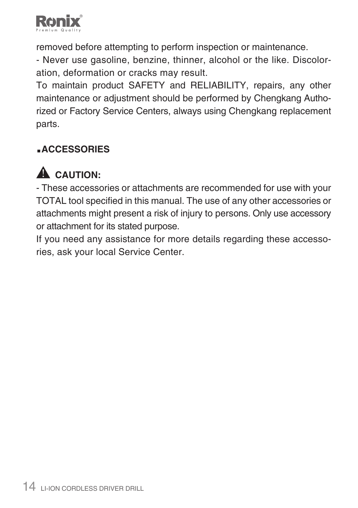

removed before attempting to perform inspection or maintenance.

- Never use gasoline, benzine, thinner, alcohol or the like. Discoloration, deformation or cracks may result.

To maintain product SAFETY and RELIABILITY, repairs, any other maintenance or adjustment should be performed by Chengkang Authorized or Factory Service Centers, always using Chengkang replacement parts.

## **.ACCESSORIES**

# A CAUTION:

- These accessories or attachments are recommended for use with your TOTAL tool specified in this manual. The use of any other accessories or attachments might present a risk of injury to persons. Only use accessory or attachment for its stated purpose.

If you need any assistance for more details regarding these accessories, ask your local Service Center.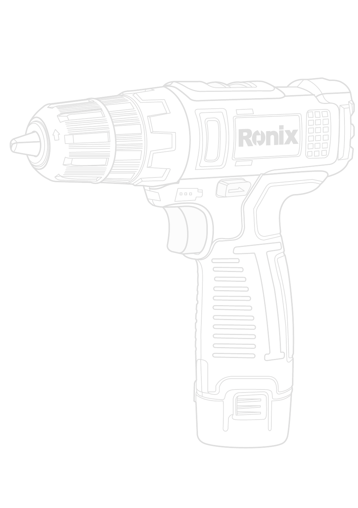